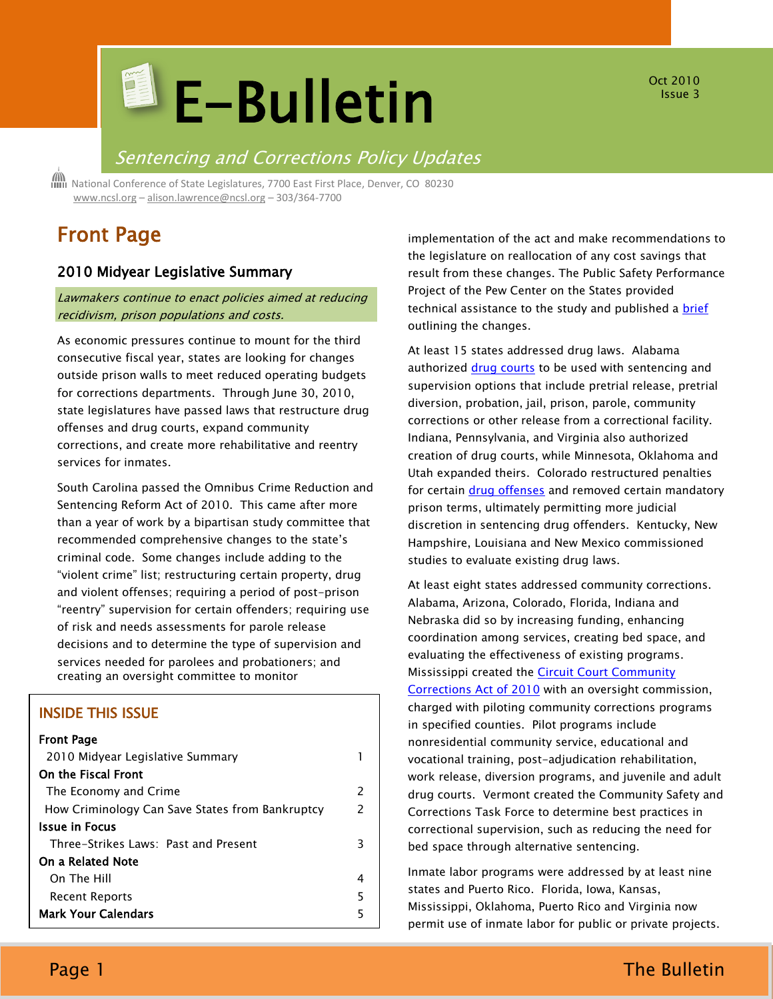# **E-Bulletin**

Oct 2010 Issue 3

# Sentencing and Corrections Policy Updates

 National Conference of State Legislatures, 7700 East First Place, Denver, CO 80230 [www.ncsl.org](http://www.ncsl.org/) – [alison.lawrence@ncsl.org](mailto:Alison.lawrence@ncsl.org) – 303/364-7700

# Front Page

# 2010 Midyear Legislative Summary

## Lawmakers continue to enact policies aimed at reducing recidivism, prison populations and costs.

As economic pressures continue to mount for the third consecutive fiscal year, states are looking for changes outside prison walls to meet reduced operating budgets for corrections departments. Through June 30, 2010, state legislatures have passed laws that restructure drug offenses and drug courts, expand community corrections, and create more rehabilitative and reentry services for inmates.

South Carolina passed the Omnibus Crime Reduction and Sentencing Reform Act of 2010. This came after more than a year of work by a bipartisan study committee that recommended comprehensive changes to the state's criminal code. Some changes include adding to the "violent crime" list; restructuring certain property, drug and violent offenses; requiring a period of post-prison "reentry" supervision for certain offenders; requiring use of risk and needs assessments for parole release decisions and to determine the type of supervision and services needed for parolees and probationers; and creating an oversight committee to monitor

# INSIDE THIS ISSUE

| Front Page |  |
|------------|--|
|------------|--|

| 2010 Midyear Legislative Summary                |               |
|-------------------------------------------------|---------------|
| On the Fiscal Front                             |               |
| The Economy and Crime                           | $\mathcal{P}$ |
| How Criminology Can Save States from Bankruptcy | 2             |
| Issue in Focus                                  |               |
| Three-Strikes Laws: Past and Present            | 3             |
| On a Related Note                               |               |
| On The Hill                                     | 4             |
| <b>Recent Reports</b>                           | 5             |
| <b>Mark Your Calendars</b>                      | 5             |
|                                                 |               |

implementation of the act and make recommendations to the legislature on reallocation of any cost savings that result from these changes. The Public Safety Performance Project of the Pew Center on the States provided technical assistance to the study and published a [brief](http://www.pewcenteronthestates.org/initiatives_detail.aspx?initiativeID=59845) outlining the changes.

At least 15 states addressed drug laws. Alabama authorized [drug courts](http://www.alacourt.gov/Sections/CSIT/DrugCourt.aspx) to be used with sentencing and supervision options that include pretrial release, pretrial diversion, probation, jail, prison, parole, community corrections or other release from a correctional facility. Indiana, Pennsylvania, and Virginia also authorized creation of drug courts, while Minnesota, Oklahoma and Utah expanded theirs. Colorado restructured penalties for certain *drug offenses* and removed certain mandatory prison terms, ultimately permitting more judicial discretion in sentencing drug offenders. Kentucky, New Hampshire, Louisiana and New Mexico commissioned studies to evaluate existing drug laws.

At least eight states addressed community corrections. Alabama, Arizona, Colorado, Florida, Indiana and Nebraska did so by increasing funding, enhancing coordination among services, creating bed space, and evaluating the effectiveness of existing programs. Mississippi created the [Circuit Court Community](http://billstatus.ls.state.ms.us/documents/2010/pdf/HB/0800-0899/HB0835SG.pdf)  [Corrections Act of 2010](http://billstatus.ls.state.ms.us/documents/2010/pdf/HB/0800-0899/HB0835SG.pdf) with an oversight commission, charged with piloting community corrections programs in specified counties. Pilot programs include nonresidential community service, educational and vocational training, post-adjudication rehabilitation, work release, diversion programs, and juvenile and adult drug courts. Vermont created the Community Safety and Corrections Task Force to determine best practices in correctional supervision, such as reducing the need for bed space through alternative sentencing.

Inmate labor programs were addressed by at least nine states and Puerto Rico. Florida, Iowa, Kansas, Mississippi, Oklahoma, Puerto Rico and Virginia now permit use of inmate labor for public or private projects.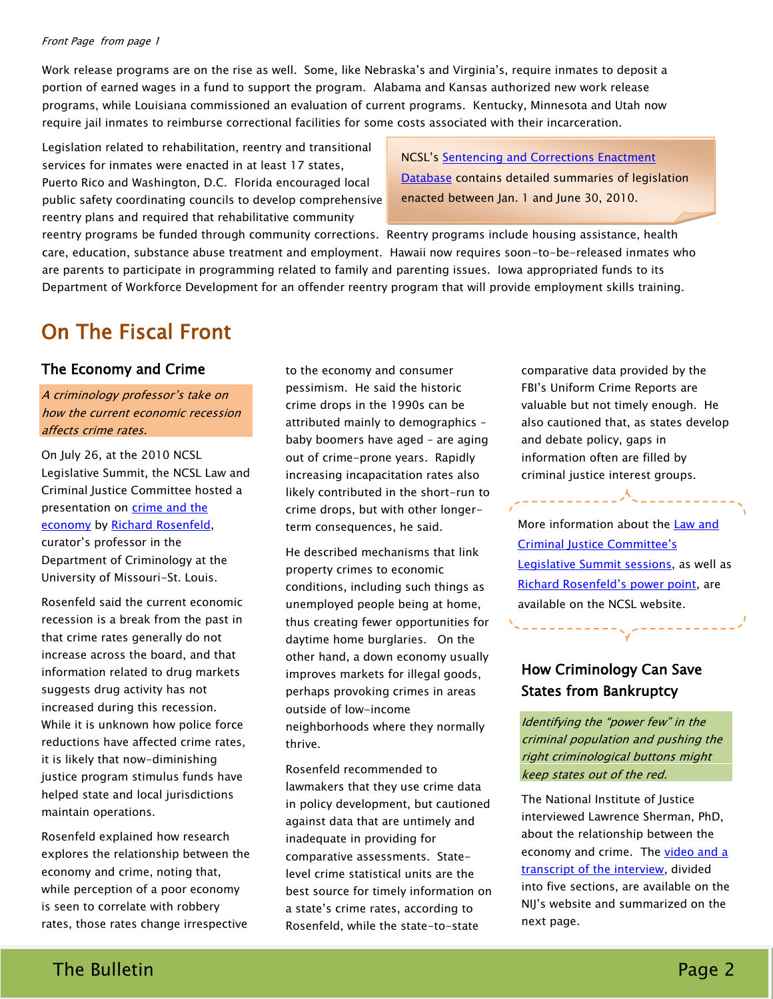#### Front Page from page 1

Work release programs are on the rise as well. Some, like Nebraska's and Virginia's, require inmates to deposit a portion of earned wages in a fund to support the program. Alabama and Kansas authorized new work release programs, while Louisiana commissioned an evaluation of current programs. Kentucky, Minnesota and Utah now require jail inmates to reimburse correctional facilities for some costs associated with their incarceration.

Legislation related to rehabilitation, reentry and transitional services for inmates were enacted in at least 17 states, Puerto Rico and Washington, D.C. Florida encouraged local public safety coordinating councils to develop comprehensive reentry plans and required that rehabilitative community

**NCSL's Sentencing and Corrections Enactment** [Database](http://www.ncsl.org/?TabId=20763) contains detailed summaries of legislation enacted between Jan. 1 and June 30, 2010.

reentry programs be funded through community corrections. Reentry programs include housing assistance, health care, education, substance abuse treatment and employment. Hawaii now requires soon-to-be-released inmates who are parents to participate in programming related to family and parenting issues. Iowa appropriated funds to its Department of Workforce Development for an offender reentry program that will provide employment skills training.

# On The Fiscal Front

# The Economy and Crime

# A criminology professor's take on how the current economic recession affects crime rates.

On July 26, at the 2010 NCSL Legislative Summit, the NCSL Law and Criminal Justice Committee hosted a presentation on crime and the [economy](http://www.ncsl.org/Portals/1/documents/standcomm/sclaw/CrimeandEconomy.pdf) by [Richard Rosenfeld,](http://www.umsl.edu/~ccj/faculty/rosenfeld.html) curator's professor in the Department of Criminology at the University of Missouri-St. Louis.

Rosenfeld said the current economic recession is a break from the past in that crime rates generally do not increase across the board, and that information related to drug markets suggests drug activity has not increased during this recession. While it is unknown how police force reductions have affected crime rates, it is likely that now-diminishing justice program stimulus funds have helped state and local jurisdictions maintain operations.

Rosenfeld explained how research explores the relationship between the economy and crime, noting that, while perception of a poor economy is seen to correlate with robbery rates, those rates change irrespective

to the economy and consumer pessimism. He said the historic crime drops in the 1990s can be attributed mainly to demographics – baby boomers have aged – are aging out of crime-prone years. Rapidly increasing incapacitation rates also likely contributed in the short-run to crime drops, but with other longerterm consequences, he said.

He described mechanisms that link property crimes to economic conditions, including such things as unemployed people being at home, thus creating fewer opportunities for daytime home burglaries. On the other hand, a down economy usually improves markets for illegal goods, perhaps provoking crimes in areas outside of low-income neighborhoods where they normally thrive.

Rosenfeld recommended to lawmakers that they use crime data in policy development, but cautioned against data that are untimely and inadequate in providing for comparative assessments. Statelevel crime statistical units are the best source for timely information on a state's crime rates, according to Rosenfeld, while the state-to-state

comparative data provided by the FBI's Uniform Crime Reports are valuable but not timely enough. He also cautioned that, as states develop and debate policy, gaps in information often are filled by criminal justice interest groups.

More information about the [Law and](http://www.ncsl.org/default.aspx?tabid=20479)  [Criminal Justice Committee's](http://www.ncsl.org/default.aspx?tabid=20479)  [Legislative Summit sessions,](http://www.ncsl.org/default.aspx?tabid=20479) as well as [Richard Rosenfeld's power point](http://www.ncsl.org/Portals/1/documents/standcomm/sclaw/CrimeandEconomy.pdf), are available on the NCSL website.

\_\_\_\_\_\_*\_*\\_\_\_\_\_\_\_\_\_

# How Criminology Can Save States from Bankruptcy

22222222222

Identifying the "power few" in the criminal population and pushing the right criminological buttons might keep states out of the red.

The National Institute of Justice interviewed Lawrence Sherman, PhD, about the relationship between the economy and crime. The [video and a](http://www.ojp.usdoj.gov/nij/multimedia/video-sherman.htm)  [transcript of the interview,](http://www.ojp.usdoj.gov/nij/multimedia/video-sherman.htm) divided into five sections, are available on the NIJ's website and summarized on the next page.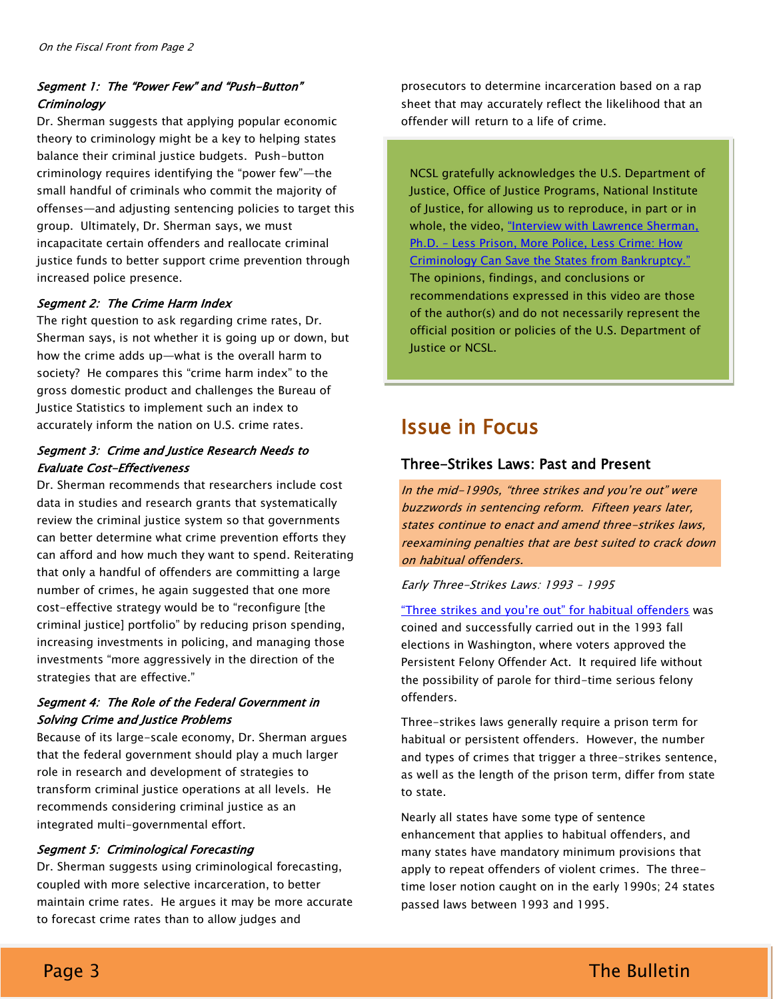# Segment 1: The "Power Few" and "Push-Button" **Criminology**

Dr. Sherman suggests that applying popular economic theory to criminology might be a key to helping states balance their criminal justice budgets. Push-button criminology requires identifying the "power few"-the small handful of criminals who commit the majority of offenses—and adjusting sentencing policies to target this group. Ultimately, Dr. Sherman says, we must incapacitate certain offenders and reallocate criminal justice funds to better support crime prevention through increased police presence.

#### Segment 2: The Crime Harm Index

The right question to ask regarding crime rates, Dr. Sherman says, is not whether it is going up or down, but how the crime adds up—what is the overall harm to society? He compares this "crime harm index" to the gross domestic product and challenges the Bureau of Justice Statistics to implement such an index to accurately inform the nation on U.S. crime rates.

#### Segment 3: Crime and Justice Research Needs to Evaluate Cost-Effectiveness

Dr. Sherman recommends that researchers include cost data in studies and research grants that systematically review the criminal justice system so that governments can better determine what crime prevention efforts they can afford and how much they want to spend. Reiterating that only a handful of offenders are committing a large number of crimes, he again suggested that one more cost-effective strategy would be to "reconfigure [the criminal justice] portfolio" by reducing prison spending, increasing investments in policing, and managing those investments "more aggressively in the direction of the strategies that are effective."

## Segment 4: The Role of the Federal Government in Solving Crime and Justice Problems

Because of its large-scale economy, Dr. Sherman argues that the federal government should play a much larger role in research and development of strategies to transform criminal justice operations at all levels. He recommends considering criminal justice as an integrated multi-governmental effort.

#### Segment 5: Criminological Forecasting

Dr. Sherman suggests using criminological forecasting, coupled with more selective incarceration, to better maintain crime rates. He argues it may be more accurate to forecast crime rates than to allow judges and

prosecutors to determine incarceration based on a rap sheet that may accurately reflect the likelihood that an offender will return to a life of crime.

NCSL gratefully acknowledges the U.S. Department of Justice, Office of Justice Programs, National Institute of Justice, for allowing us to reproduce, in part or in whole, the video, "Interview with Lawrence Sherman, Ph.D. - Less Prison, More Police, Less Crime: How Criminology Can Save the States from Bankruptcy." The opinions, findings, and conclusions or recommendations expressed in this video are those of the author(s) and do not necessarily represent the official position or policies of the U.S. Department of Justice or NCSL.

# Issue in Focus

# Three-Strikes Laws: Past and Present

In the mid-1990s, "three strikes and you're out" were buzzwords in sentencing reform. Fifteen years later, states continue to enact and amend three-strikes laws, reexamining penalties that are best suited to crack down on habitual offenders.

#### Early Three-Strikes Laws: 1993 – 1995

"Three strikes and you're out" for habitual offenders was coined and successfully carried out in the 1993 fall elections in Washington, where voters approved the Persistent Felony Offender Act. It required life without the possibility of parole for third-time serious felony offenders.

Three-strikes laws generally require a prison term for habitual or persistent offenders. However, the number and types of crimes that trigger a three-strikes sentence, as well as the length of the prison term, differ from state to state.

Nearly all states have some type of sentence enhancement that applies to habitual offenders, and many states have mandatory minimum provisions that apply to repeat offenders of violent crimes. The threetime loser notion caught on in the early 1990s; 24 states passed laws between 1993 and 1995.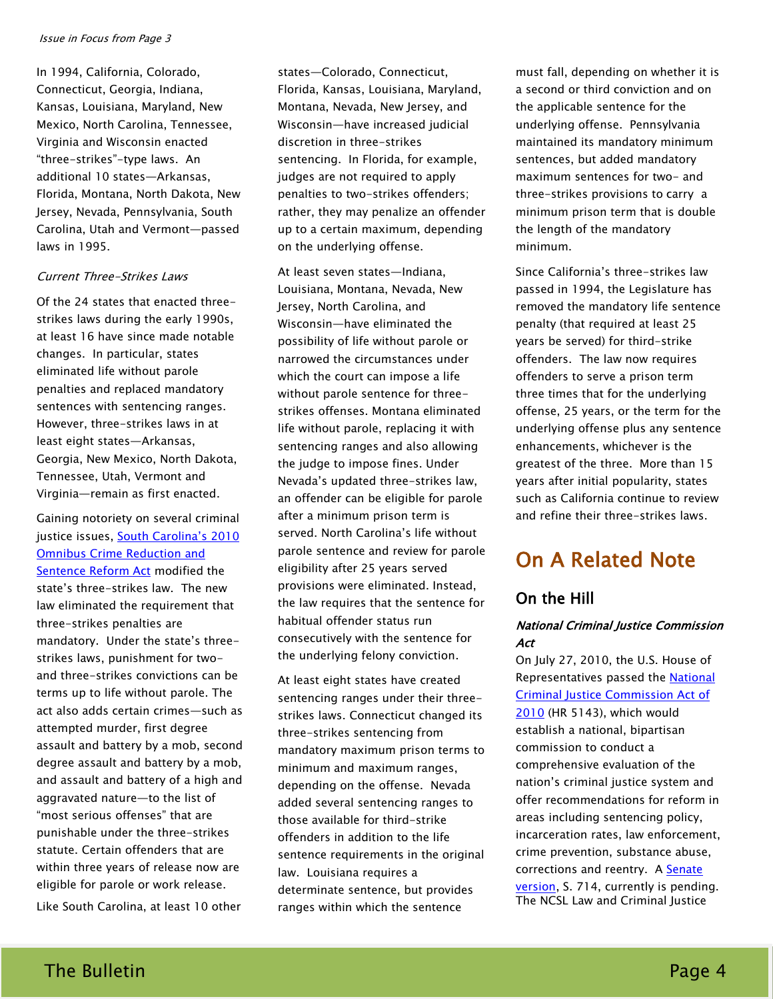#### Issue in Focus from Page 3

In 1994, California, Colorado, Connecticut, Georgia, Indiana, Kansas, Louisiana, Maryland, New Mexico, North Carolina, Tennessee, Virginia and Wisconsin enacted "three-strikes"-type laws. An additional 10 states—Arkansas, Florida, Montana, North Dakota, New Jersey, Nevada, Pennsylvania, South Carolina, Utah and Vermont—passed laws in 1995.

#### Current Three-Strikes Laws

Of the 24 states that enacted threestrikes laws during the early 1990s, at least 16 have since made notable changes. In particular, states eliminated life without parole penalties and replaced mandatory sentences with sentencing ranges. However, three-strikes laws in at least eight states—Arkansas, Georgia, New Mexico, North Dakota, Tennessee, Utah, Vermont and Virginia—remain as first enacted.

Gaining notoriety on several criminal justice issues, [South Carolina's 2010](http://www.pewcenteronthestates.org/initiatives_detail.aspx?initiativeID=59845)  [Omnibus Crime Reduction and](http://www.pewcenteronthestates.org/initiatives_detail.aspx?initiativeID=59845)  [Sentence Reform Act](http://www.pewcenteronthestates.org/initiatives_detail.aspx?initiativeID=59845) modified the state's three-strikes law. The new law eliminated the requirement that three-strikes penalties are mandatory. Under the state's threestrikes laws, punishment for twoand three-strikes convictions can be terms up to life without parole. The act also adds certain crimes—such as attempted murder, first degree assault and battery by a mob, second degree assault and battery by a mob, and assault and battery of a high and aggravated nature—to the list of "most serious offenses" that are punishable under the three-strikes statute. Certain offenders that are within three years of release now are eligible for parole or work release.

Like South Carolina, at least 10 other

states—Colorado, Connecticut, Florida, Kansas, Louisiana, Maryland, Montana, Nevada, New Jersey, and Wisconsin—have increased judicial discretion in three-strikes sentencing. In Florida, for example, judges are not required to apply penalties to two-strikes offenders; rather, they may penalize an offender up to a certain maximum, depending on the underlying offense.

At least seven states—Indiana, Louisiana, Montana, Nevada, New Jersey, North Carolina, and Wisconsin—have eliminated the possibility of life without parole or narrowed the circumstances under which the court can impose a life without parole sentence for threestrikes offenses. Montana eliminated life without parole, replacing it with sentencing ranges and also allowing the judge to impose fines. Under Nevada's updated three-strikes law, an offender can be eligible for parole after a minimum prison term is served. North Carolina's life without parole sentence and review for parole eligibility after 25 years served provisions were eliminated. Instead, the law requires that the sentence for habitual offender status run consecutively with the sentence for the underlying felony conviction.

At least eight states have created sentencing ranges under their threestrikes laws. Connecticut changed its three-strikes sentencing from mandatory maximum prison terms to minimum and maximum ranges, depending on the offense. Nevada added several sentencing ranges to those available for third-strike offenders in addition to the life sentence requirements in the original law. Louisiana requires a determinate sentence, but provides ranges within which the sentence

must fall, depending on whether it is a second or third conviction and on the applicable sentence for the underlying offense. Pennsylvania maintained its mandatory minimum sentences, but added mandatory maximum sentences for two- and three-strikes provisions to carry a minimum prison term that is double the length of the mandatory minimum.

Since California's three-strikes law passed in 1994, the Legislature has removed the mandatory life sentence penalty (that required at least 25 years be served) for third-strike offenders. The law now requires offenders to serve a prison term three times that for the underlying offense, 25 years, or the term for the underlying offense plus any sentence enhancements, whichever is the greatest of the three. More than 15 years after initial popularity, states such as California continue to review and refine their three-strikes laws.

# On A Related Note

# On the Hill

# National Criminal Justice Commission Act

On July 27, 2010, the U.S. House of Representatives passed the **National** [Criminal Justice Commission Act of](http://thomas.loc.gov/cgi-bin/bdquery/z?d111:H.R.5143:)  [2010](http://thomas.loc.gov/cgi-bin/bdquery/z?d111:H.R.5143:) (HR 5143), which would establish a national, bipartisan commission to conduct a comprehensive evaluation of the nation's criminal justice system and offer recommendations for reform in areas including sentencing policy, incarceration rates, law enforcement, crime prevention, substance abuse, corrections and reentry. A [Senate](http://thomas.loc.gov/cgi-bin/bdquery/z?d111:SN00714:)  [version,](http://thomas.loc.gov/cgi-bin/bdquery/z?d111:SN00714:) S. 714, currently is pending. The NCSL Law and Criminal Justice